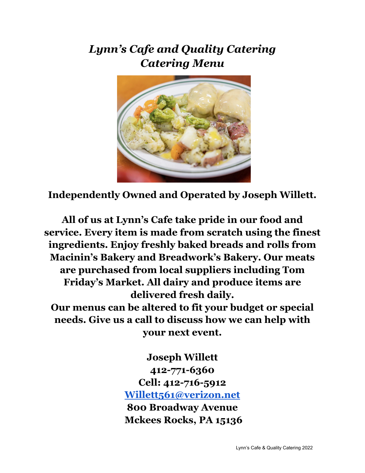### *Lynn's Cafe and Quality Catering Catering Menu*



**Independently Owned and Operated by Joseph Willett.**

**All of us at Lynn's Cafe take pride in our food and service. Every item is made from scratch using the finest ingredients. Enjoy freshly baked breads and rolls from Macinin's Bakery and Breadwork's Bakery. Our meats are purchased from local suppliers including Tom Friday's Market. All dairy and produce items are delivered fresh daily. Our menus can be altered to fit your budget or special**

**needs. Give us a call to discuss how we can help with your next event.**

> **Joseph Willett 412-771-6360 Cell: 412-716-5912 [Willett561@verizon.net](mailto:Willett561@verizon.net) 800 Broadway Avenue Mckees Rocks, PA 15136**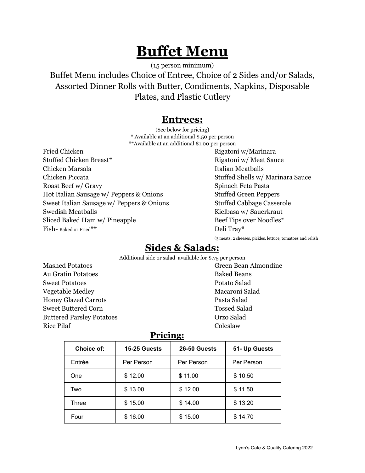### **Buffet Menu**

(15 person minimum)

Buffet Menu includes Choice of Entree, Choice of 2 Sides and/or Salads, Assorted Dinner Rolls with Butter, Condiments, Napkins, Disposable Plates, and Plastic Cutlery

#### **Entrees:**

(See below for pricing) \* Available at an additional \$.50 per person \*\*Available at an additional \$1.00 per person

Fried Chicken Rigatoni w/Marinara Stuffed Chicken Breast\* Rigatoni w/ Meat Sauce Chicken Marsala **Italian Meatballs** Italian Meatballs Chicken Piccata Stuffed Shells w/ Marinara Sauce Roast Beef w/ Gravy Spinach Feta Pasta Hot Italian Sausage w/ Peppers & Onions Stuffed Green Peppers Sweet Italian Sausage w/ Peppers & Onions Stuffed Cabbage Casserole Swedish Meatballs **Kielbasa w/ Sauerkraut** Sliced Baked Ham w/ Pineapple Beef Tips over Noodles\* Fish- Baked or Fried\*\*  $\text{Deli } \text{Tray}^*$ 

(3 meats, 2 cheeses, pickles, lettuce, tomatoes and relish

### **Sides & Salads:**

Additional side or salad available for \$.75 per person

Mashed Potatoes Green Bean Almondine Au Gratin Potatoes Baked Beans Sweet Potatoes Potato Salad Vegetable Medley Macaroni Salad Honey Glazed Carrots Pasta Salad Sweet Buttered Corn Tossed Salad Buttered Parsley Potatoes Orzo Salad Rice Pilaf Coleslaw

#### **Pricing:**

| Choice of: | 15-25 Guests | 26-50 Guests | 51- Up Guests |
|------------|--------------|--------------|---------------|
| Entrée     | Per Person   | Per Person   | Per Person    |
| One        | \$12.00      | \$11.00      | \$10.50       |
| Two        | \$13.00      | \$12.00      | \$11.50       |
| Three      | \$15.00      | \$14.00      | \$13.20       |
| Four       | \$16.00      | \$15.00      | \$14.70       |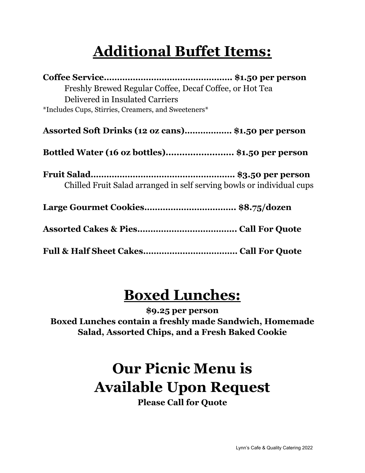# **Additional Buffet Items:**

| Freshly Brewed Regular Coffee, Decaf Coffee, or Hot Tea |                                                                       |
|---------------------------------------------------------|-----------------------------------------------------------------------|
| Delivered in Insulated Carriers                         |                                                                       |
| *Includes Cups, Stirries, Creamers, and Sweeteners*     |                                                                       |
| Assorted Soft Drinks (12 oz cans) \$1.50 per person     |                                                                       |
| Bottled Water (16 oz bottles)\$1.50 per person          |                                                                       |
|                                                         | Chilled Fruit Salad arranged in self serving bowls or individual cups |
|                                                         |                                                                       |
|                                                         |                                                                       |
|                                                         |                                                                       |

### **Boxed Lunches:**

**\$9.25 per person Boxed Lunches contain a freshly made Sandwich, Homemade Salad, Assorted Chips, and a Fresh Baked Cookie**

# **Our Picnic Menu is Available Upon Request**

**Please Call for Quote**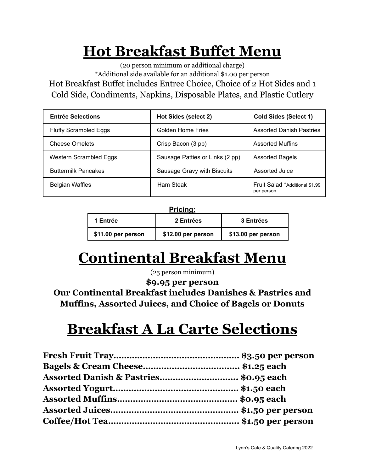## **Hot Breakfast Buffet Menu**

(20 person minimum or additional charge) \*Additional side available for an additional \$1.00 per person Hot Breakfast Buffet includes Entree Choice, Choice of 2 Hot Sides and 1 Cold Side, Condiments, Napkins, Disposable Plates, and Plastic Cutlery

| <b>Entrée Selections</b>     | Hot Sides (select 2)            | <b>Cold Sides (Select 1)</b>                        |
|------------------------------|---------------------------------|-----------------------------------------------------|
| <b>Fluffy Scrambled Eggs</b> | Golden Home Fries               | <b>Assorted Danish Pastries</b>                     |
| <b>Cheese Omelets</b>        | Crisp Bacon (3 pp)              | <b>Assorted Muffins</b>                             |
| Western Scrambled Eggs       | Sausage Patties or Links (2 pp) | <b>Assorted Bagels</b>                              |
| <b>Buttermilk Pancakes</b>   | Sausage Gravy with Biscuits     | Assorted Juice                                      |
| <b>Belgian Waffles</b>       | Ham Steak                       | <b>Fruit Salad *Additional \$1.99</b><br>per person |

#### **Pricing:**

| 1 Entrée           | 2 Entrées          | <b>3 Entrées</b>   |
|--------------------|--------------------|--------------------|
| \$11.00 per person | \$12.00 per person | \$13.00 per person |

## **Continental Breakfast Menu**

(25 person minimum)

**\$9.95 per person**

**Our Continental Breakfast includes Danishes & Pastries and Muffins, Assorted Juices, and Choice of Bagels or Donuts**

### **Breakfast A La Carte Selections**

| Assorted Danish & Pastries \$0.95 each |  |
|----------------------------------------|--|
|                                        |  |
|                                        |  |
|                                        |  |
|                                        |  |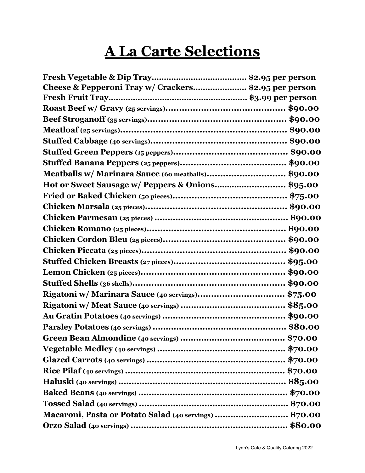# **A La Carte Selections**

| Cheese & Pepperoni Tray w/ Crackers\$2.95 per person  |
|-------------------------------------------------------|
|                                                       |
|                                                       |
|                                                       |
|                                                       |
|                                                       |
|                                                       |
|                                                       |
| Meatballs w/ Marinara Sauce (60 meatballs)\$90.00     |
| Hot or Sweet Sausage w/ Peppers & Onions\$95.00       |
|                                                       |
|                                                       |
|                                                       |
|                                                       |
|                                                       |
|                                                       |
|                                                       |
|                                                       |
|                                                       |
| Rigatoni w/ Marinara Sauce (40 servings)\$75.00       |
|                                                       |
|                                                       |
|                                                       |
|                                                       |
|                                                       |
|                                                       |
|                                                       |
|                                                       |
|                                                       |
|                                                       |
| Macaroni, Pasta or Potato Salad (40 servings) \$70.00 |
|                                                       |